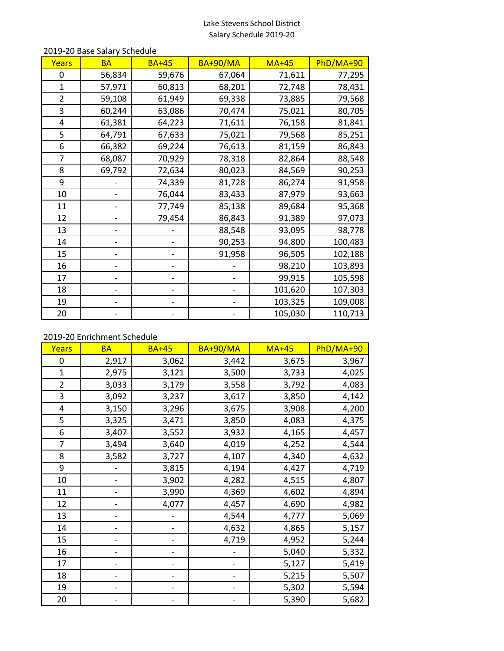# Lake Stevens School District Salary Schedule 2019-20

| <b>Years</b> | <b>BA</b> | <b>BA+45</b> | <b>BA+90/MA</b> | <b>MA+45</b> | PhD/MA+90 |
|--------------|-----------|--------------|-----------------|--------------|-----------|
| 0            | 56,834    | 59,676       | 67,064          | 71,611       | 77,295    |
| $\mathbf{1}$ | 57,971    | 60,813       | 68,201          | 72,748       | 78,431    |
| 2            | 59,108    | 61,949       | 69,338          | 73,885       | 79,568    |
| 3            | 60,244    | 63,086       | 70,474          | 75,021       | 80,705    |
| 4            | 61,381    | 64,223       | 71,611          | 76,158       | 81,841    |
| 5            | 64,791    | 67,633       | 75,021          | 79,568       | 85,251    |
| 6            | 66,382    | 69,224       | 76,613          | 81,159       | 86,843    |
| 7            | 68,087    | 70,929       | 78,318          | 82,864       | 88,548    |
| 8            | 69,792    | 72,634       | 80,023          | 84,569       | 90,253    |
| 9            |           | 74,339       | 81,728          | 86,274       | 91,958    |
| 10           |           | 76,044       | 83,433          | 87,979       | 93,663    |
| 11           |           | 77,749       | 85,138          | 89,684       | 95,368    |
| 12           |           | 79,454       | 86,843          | 91,389       | 97,073    |
| 13           |           |              | 88,548          | 93,095       | 98,778    |
| 14           |           |              | 90,253          | 94,800       | 100,483   |
| 15           |           |              | 91,958          | 96,505       | 102,188   |
| 16           |           |              |                 | 98,210       | 103,893   |
| 17           |           |              |                 | 99,915       | 105,598   |
| 18           |           |              |                 | 101,620      | 107,303   |
| 19           |           |              |                 | 103,325      | 109,008   |
| 20           |           |              |                 | 105,030      | 110,713   |

### 2019-20 Base Salary Schedule

# 2019-20 Enrichment Schedule

| Years          | <b>BA</b> | <b>BA+45</b> | <b>BA+90/MA</b> | <b>MA+45</b> | PhD/MA+90 |
|----------------|-----------|--------------|-----------------|--------------|-----------|
| 0              | 2,917     | 3,062        | 3,442           | 3,675        | 3,967     |
| $\mathbf{1}$   | 2,975     | 3,121        | 3,500           | 3,733        | 4,025     |
| $\overline{2}$ | 3,033     | 3,179        | 3,558           | 3,792        | 4,083     |
| 3              | 3,092     | 3,237        | 3,617           | 3,850        | 4,142     |
| 4              | 3,150     | 3,296        | 3,675           | 3,908        | 4,200     |
| 5              | 3,325     | 3,471        | 3,850           | 4,083        | 4,375     |
| 6              | 3,407     | 3,552        | 3,932           | 4,165        | 4,457     |
| 7              | 3,494     | 3,640        | 4,019           | 4,252        | 4,544     |
| 8              | 3,582     | 3,727        | 4,107           | 4,340        | 4,632     |
| 9              |           | 3,815        | 4,194           | 4,427        | 4,719     |
| 10             |           | 3,902        | 4,282           | 4,515        | 4,807     |
| 11             |           | 3,990        | 4,369           | 4,602        | 4,894     |
| 12             |           | 4,077        | 4,457           | 4,690        | 4,982     |
| 13             |           |              | 4,544           | 4,777        | 5,069     |
| 14             |           |              | 4,632           | 4,865        | 5,157     |
| 15             |           |              | 4,719           | 4,952        | 5,244     |
| 16             |           |              |                 | 5,040        | 5,332     |
| 17             |           |              |                 | 5,127        | 5,419     |
| 18             |           |              |                 | 5,215        | 5,507     |
| 19             |           |              |                 | 5,302        | 5,594     |
| 20             |           |              |                 | 5,390        | 5,682     |